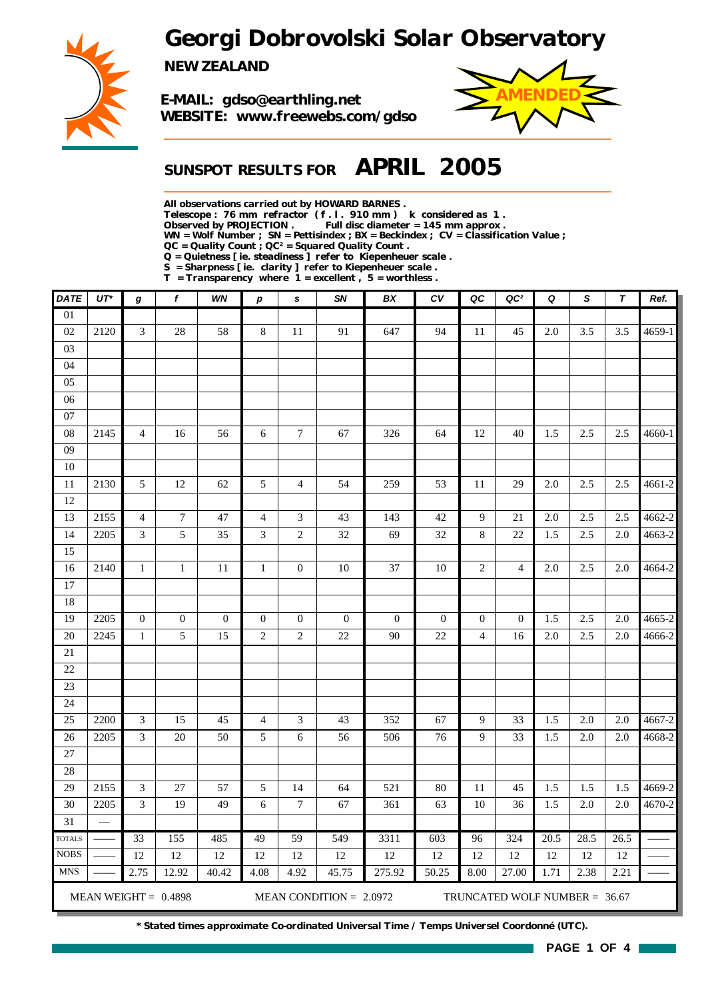*Georgi Dobrovolski Solar Observatory*



*NEW ZEALAND*

*E-MAIL: gdso@earthling.net WEBSITE: www.freewebs.com/gdso*



## *SUNSPOT RESULTS FOR APRIL 2005*

*All observations carried out by HOWARD BARNES .*

*Telescope : 76 mm refractor ( f . l . 910 mm ) k considered as 1 .*

*Observed by PROJECTION . Full disc diameter = 145 mm approx .*

*WN = Wolf Number ; SN = Pettisindex ; BX = Beckindex ; CV = Classification Value ;*

*QC = Quality Count ; QC² = Squared Quality Count . Q = Quietness [ ie. steadiness ] refer to Kiepenheuer scale .*

*S = Sharpness [ ie. clarity ] refer to Kiepenheuer scale .*

*T = Transparency where 1 = excellent , 5 = worthless .*

| <b>DATE</b>     | $UT^*$ | g                | $\boldsymbol{f}$       | WN               | $\boldsymbol{p}$ | s                           | SN                        | BX               | c <sub>V</sub>   | QC               | QC <sup>2</sup>               | Q    | $\mathsf{s}$ | $\boldsymbol{\tau}$ | Ref.       |
|-----------------|--------|------------------|------------------------|------------------|------------------|-----------------------------|---------------------------|------------------|------------------|------------------|-------------------------------|------|--------------|---------------------|------------|
| $\overline{01}$ |        |                  |                        |                  |                  |                             |                           |                  |                  |                  |                               |      |              |                     |            |
| 02              | 2120   | $\mathfrak{Z}$   | $28\,$                 | 58               | $8\,$            | $11\,$                      | 91                        | 647              | 94               | 11               | 45                            | 2.0  | 3.5          | 3.5                 | 4659-1     |
| 03              |        |                  |                        |                  |                  |                             |                           |                  |                  |                  |                               |      |              |                     |            |
| 04              |        |                  |                        |                  |                  |                             |                           |                  |                  |                  |                               |      |              |                     |            |
| 05              |        |                  |                        |                  |                  |                             |                           |                  |                  |                  |                               |      |              |                     |            |
| 06              |        |                  |                        |                  |                  |                             |                           |                  |                  |                  |                               |      |              |                     |            |
| $07\,$          |        |                  |                        |                  |                  |                             |                           |                  |                  |                  |                               |      |              |                     |            |
| 08              | 2145   | 4                | 16                     | 56               | 6                | $\tau$                      | 67                        | 326              | 64               | 12               | 40                            | 1.5  | 2.5          | 2.5                 | 4660-1     |
| 09              |        |                  |                        |                  |                  |                             |                           |                  |                  |                  |                               |      |              |                     |            |
| $10\,$          |        |                  |                        |                  |                  |                             |                           |                  |                  |                  |                               |      |              |                     |            |
| $11\,$          | 2130   | 5                | 12                     | 62               | 5                | $\overline{4}$              | 54                        | 259              | 53               | $11\,$           | 29                            | 2.0  | 2.5          | 2.5                 | 4661-2     |
| 12              |        |                  |                        |                  |                  |                             |                           |                  |                  |                  |                               |      |              |                     |            |
| 13              | 2155   | $\overline{4}$   | $\tau$                 | 47               | $\overline{4}$   | $\ensuremath{\mathfrak{Z}}$ | 43                        | 143              | 42               | 9                | 21                            | 2.0  | 2.5          | 2.5                 | 4662-2     |
| 14              | 2205   | 3                | 5                      | 35               | 3                | $\mathfrak{2}$              | 32                        | 69               | 32               | 8                | 22                            | 1.5  | 2.5          | 2.0                 | 4663-2     |
| 15              |        |                  |                        |                  |                  |                             |                           |                  |                  |                  |                               |      |              |                     |            |
| 16              | 2140   | $\mathbf{1}$     | $\mathbf{1}$           | 11               | $\mathbf{1}$     | $\boldsymbol{0}$            | 10                        | 37               | $10\,$           | $\boldsymbol{2}$ | $\overline{4}$                | 2.0  | 2.5          | 2.0                 | 4664-2     |
| 17              |        |                  |                        |                  |                  |                             |                           |                  |                  |                  |                               |      |              |                     |            |
| 18              |        |                  |                        |                  |                  |                             |                           |                  |                  |                  |                               |      |              |                     |            |
| 19              | 2205   | $\boldsymbol{0}$ | $\boldsymbol{0}$       | $\boldsymbol{0}$ | $\boldsymbol{0}$ | $\boldsymbol{0}$            | $\boldsymbol{0}$          | $\boldsymbol{0}$ | $\boldsymbol{0}$ | $\boldsymbol{0}$ | $\theta$                      | 1.5  | 2.5          | 2.0                 | 4665-2     |
| 20              | 2245   | $\mathbf{1}$     | 5                      | 15               | $\overline{c}$   | $\sqrt{2}$                  | $22\,$                    | 90               | $22\,$           | $\overline{4}$   | 16                            | 2.0  | 2.5          | 2.0                 | 4666-2     |
| $21\,$          |        |                  |                        |                  |                  |                             |                           |                  |                  |                  |                               |      |              |                     |            |
| 22              |        |                  |                        |                  |                  |                             |                           |                  |                  |                  |                               |      |              |                     |            |
| 23              |        |                  |                        |                  |                  |                             |                           |                  |                  |                  |                               |      |              |                     |            |
| 24              |        |                  |                        |                  |                  |                             |                           |                  |                  |                  |                               |      |              |                     |            |
| 25              | 2200   | 3                | 15                     | 45               | $\overline{4}$   | 3                           | 43                        | 352              | 67               | 9                | 33                            | 1.5  | 2.0          | 2.0                 | 4667-2     |
| 26<br>27        | 2205   | $\mathfrak{Z}$   | $20\,$                 | 50               | 5                | 6                           | 56                        | 506              | 76               | 9                | 33                            | 1.5  | 2.0          | 2.0                 | 4668-2     |
| 28              |        |                  |                        |                  |                  |                             |                           |                  |                  |                  |                               |      |              |                     |            |
| 29              | 2155   | $\mathfrak{Z}$   | $27\,$                 | 57               | $\sqrt{5}$       | 14                          | 64                        | 521              | $80\,$           | 11               | 45                            | 1.5  | 1.5          | 1.5                 | 4669-2     |
| 30              | 2205   | 3                | 19                     | 49               | 6                | $\tau$                      | 67                        | 361              | 63               | 10               | 36                            | 1.5  | 2.0          | 2.0                 | $4670 - 2$ |
| $\overline{31}$ |        |                  |                        |                  |                  |                             |                           |                  |                  |                  |                               |      |              |                     |            |
| <b>TOTALS</b>   |        | 33               | 155                    | 485              | 49               | 59                          | 549                       | 3311             | 603              | 96               | 324                           | 20.5 | 28.5         | 26.5                |            |
| <b>NOBS</b>     |        | 12               | 12                     | $12\,$           | 12               | 12                          | 12                        | 12               | 12               | 12               | 12                            | 12   | 12           | 12                  |            |
| <b>MNS</b>      |        | 2.75             | 12.92                  | 40.42            | 4.08             | 4.92                        | 45.75                     | 275.92           | 50.25            | 8.00             | 27.00                         | 1.71 | 2.38         | 2.21                |            |
|                 |        |                  | MEAN WEIGHT = $0.4898$ |                  |                  |                             | MEAN CONDITION = $2.0972$ |                  |                  |                  | TRUNCATED WOLF NUMBER = 36.67 |      |              |                     |            |

*\* Stated times approximate Co-ordinated Universal Time / Temps Universel Coordonné (UTC).*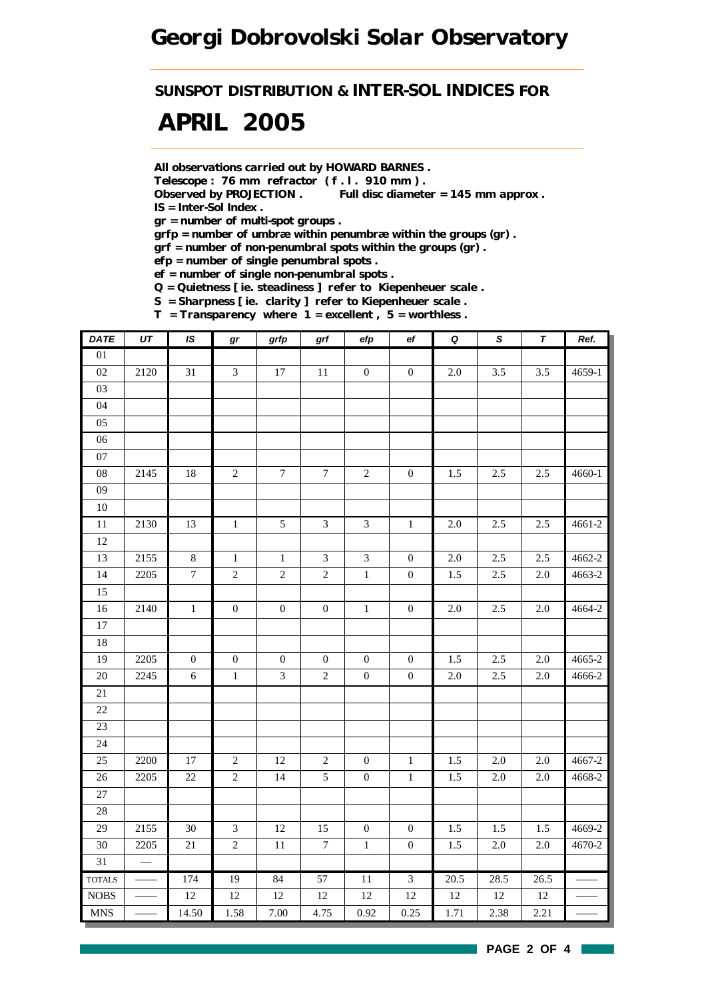*SUNSPOT DISTRIBUTION & INTER-SOL INDICES FOR*

# *APRIL 2005*

*All observations carried out by HOWARD BARNES .*

*Telescope : 76 mm refractor ( f . l . 910 mm ) .*

*Observed by PROJECTION . Full disc diameter = 145 mm approx . IS = Inter-Sol Index .*

*gr = number of multi-spot groups .*

*grfp = number of umbræ within penumbræ within the groups (gr) .*

*grf = number of non-penumbral spots within the groups (gr) .*

*efp = number of single penumbral spots .*

*ef = number of single non-penumbral spots .*

*Q = Quietness [ ie. steadiness ] refer to Kiepenheuer scale .*

*S = Sharpness [ ie. clarity ] refer to Kiepenheuer scale .*

*T = Transparency where 1 = excellent , 5 = worthless .*

| <b>DATE</b>                      | UT   | $\overline{1S}$  | gr               | grfp             | grf              | efp                         | ef               | $\overline{\mathbf{Q}}$ | $\pmb{\mathsf{s}}$ | $\pmb{\tau}$ | Ref.   |
|----------------------------------|------|------------------|------------------|------------------|------------------|-----------------------------|------------------|-------------------------|--------------------|--------------|--------|
| $\overline{01}$                  |      |                  |                  |                  |                  |                             |                  |                         |                    |              |        |
| 02                               | 2120 | 31               | $\mathfrak{Z}$   | 17               | 11               | $\boldsymbol{0}$            | $\boldsymbol{0}$ | $2.0\,$                 | 3.5                | 3.5          | 4659-1 |
| $03\,$                           |      |                  |                  |                  |                  |                             |                  |                         |                    |              |        |
| 04                               |      |                  |                  |                  |                  |                             |                  |                         |                    |              |        |
| $05\,$                           |      |                  |                  |                  |                  |                             |                  |                         |                    |              |        |
| 06                               |      |                  |                  |                  |                  |                             |                  |                         |                    |              |        |
| $07\,$                           |      |                  |                  |                  |                  |                             |                  |                         |                    |              |        |
| ${\bf 08}$                       | 2145 | 18               | $\sqrt{2}$       | $\boldsymbol{7}$ | $\boldsymbol{7}$ | $\sqrt{2}$                  | $\boldsymbol{0}$ | $1.5\,$                 | 2.5                | 2.5          | 4660-1 |
| 09                               |      |                  |                  |                  |                  |                             |                  |                         |                    |              |        |
| $10\,$                           |      |                  |                  |                  |                  |                             |                  |                         |                    |              |        |
| 11                               | 2130 | 13               | $\mathbf 1$      | $\mathfrak{S}$   | $\mathfrak{Z}$   | $\mathfrak{Z}$              | $\,1\,$          | $2.0\,$                 | 2.5                | 2.5          | 4661-2 |
| 12                               |      |                  |                  |                  |                  |                             |                  |                         |                    |              |        |
| 13                               | 2155 | $\,8\,$          | $\mathbf{1}$     | $\,1$            | $\mathfrak{Z}$   | $\ensuremath{\mathfrak{Z}}$ | $\boldsymbol{0}$ | $2.0\,$                 | 2.5                | 2.5          | 4662-2 |
| 14                               | 2205 | $\boldsymbol{7}$ | $\sqrt{2}$       | $\sqrt{2}$       | $\overline{c}$   | $\mathbf 1$                 | $\boldsymbol{0}$ | 1.5                     | 2.5                | $2.0\,$      | 4663-2 |
| 15                               |      |                  |                  |                  |                  |                             |                  |                         |                    |              |        |
| 16                               | 2140 | $\mathbf{1}$     | $\boldsymbol{0}$ | $\boldsymbol{0}$ | $\boldsymbol{0}$ | $1\,$                       | $\boldsymbol{0}$ | $2.0\,$                 | 2.5                | $2.0\,$      | 4664-2 |
| $17\,$                           |      |                  |                  |                  |                  |                             |                  |                         |                    |              |        |
| 18                               |      |                  |                  |                  |                  |                             |                  |                         |                    |              |        |
| 19                               | 2205 | $\boldsymbol{0}$ | $\boldsymbol{0}$ | $\boldsymbol{0}$ | $\mathbf{0}$     | $\boldsymbol{0}$            | $\mathbf{0}$     | 1.5                     | 2.5                | $2.0\,$      | 4665-2 |
| $20\,$                           | 2245 | $\epsilon$       | $\,1$            | $\mathfrak{Z}$   | $\sqrt{2}$       | $\boldsymbol{0}$            | $\boldsymbol{0}$ | $2.0\,$                 | 2.5                | 2.0          | 4666-2 |
| 21                               |      |                  |                  |                  |                  |                             |                  |                         |                    |              |        |
| $22\,$                           |      |                  |                  |                  |                  |                             |                  |                         |                    |              |        |
| 23                               |      |                  |                  |                  |                  |                             |                  |                         |                    |              |        |
| 24                               |      |                  |                  |                  |                  |                             |                  |                         |                    |              |        |
| 25                               | 2200 | 17               | $\sqrt{2}$       | $12\,$           | $\sqrt{2}$       | $\boldsymbol{0}$            | $\mathbf{1}$     | 1.5                     | 2.0                | 2.0          | 4667-2 |
| $26\,$                           | 2205 | $22\,$           | $\overline{2}$   | $\overline{14}$  | $\mathfrak{S}$   | $\boldsymbol{0}$            | $\,1\,$          | 1.5                     | $2.0\,$            | 2.0          | 4668-2 |
| 27                               |      |                  |                  |                  |                  |                             |                  |                         |                    |              |        |
| $28\,$                           |      |                  |                  |                  |                  |                             |                  |                         |                    |              |        |
| 29                               | 2155 | $30\,$           | $\mathfrak{Z}$   | 12               | 15               | $\boldsymbol{0}$            | $\boldsymbol{0}$ | 1.5                     | 1.5                | 1.5          | 4669-2 |
| $30\,$                           | 2205 | $21\,$           | $\sqrt{2}$       | $11\,$           | $\boldsymbol{7}$ | $\,1\,$                     | $\boldsymbol{0}$ | $1.5\,$                 | $2.0\,$            | $2.0\,$      | 4670-2 |
| 31                               |      |                  |                  |                  |                  |                             |                  |                         |                    |              |        |
| <b>TOTALS</b>                    |      | 174              | 19               | 84               | $\overline{57}$  | $\overline{11}$             | $\overline{3}$   | $\overline{20.5}$       | 28.5               | 26.5         |        |
| $\rm{NOBS}$                      |      | $12\,$           | $12\,$           | $12\,$           | $12\,$           | 12                          | 12               | $12\,$                  | $12\,$             | $12\,$       |        |
| $\mathbf{M}\mathbf{N}\mathbf{S}$ |      | 14.50            | 1.58             | 7.00             | 4.75             | 0.92                        | 0.25             | 1.71                    | 2.38               | 2.21         |        |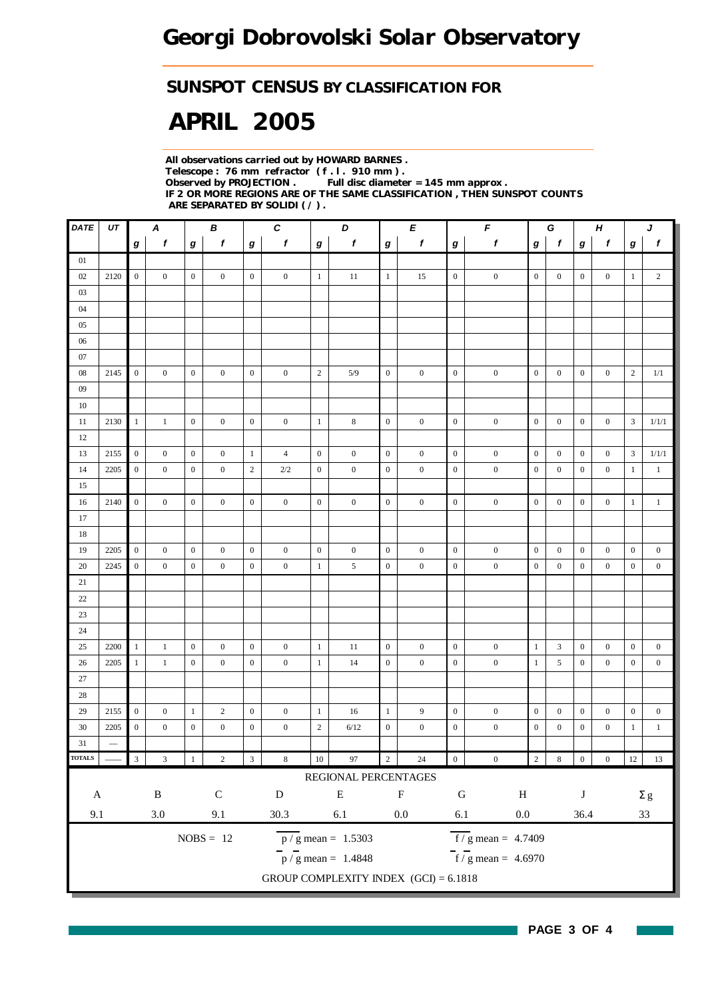## *SUNSPOT CENSUS BY CLASSIFICATION FOR*

# *APRIL 2005*

*All observations carried out by HOWARD BARNES . Telescope : 76 mm refractor ( f . l . 910 mm ) . Observed by PROJECTION . Full disc diameter = 145 mm approx . IF 2 OR MORE REGIONS ARE OF THE SAME CLASSIFICATION , THEN SUNSPOT COUNTS ARE SEPARATED BY SOLIDI ( / ) .*

| DATE          | UT              | В<br>A           |                           |                  |                  | $\pmb{C}$<br>D   |                  |                  | Е                                       |                  | F                |                  | G                                   |                  | $\boldsymbol{H}$ |                  | J                |                  |                  |
|---------------|-----------------|------------------|---------------------------|------------------|------------------|------------------|------------------|------------------|-----------------------------------------|------------------|------------------|------------------|-------------------------------------|------------------|------------------|------------------|------------------|------------------|------------------|
|               |                 | g                | $\mathbf f$               | $\boldsymbol{g}$ | $\mathbf f$      | $\boldsymbol{g}$ | $\boldsymbol{f}$ | $\bm{g}$         | f                                       | $\boldsymbol{g}$ | $\pmb{f}$        | $\boldsymbol{g}$ | $\pmb{f}$                           | g                | $\mathbf f$      | g                | $\boldsymbol{f}$ | g                | $\boldsymbol{f}$ |
| 01            |                 |                  |                           |                  |                  |                  |                  |                  |                                         |                  |                  |                  |                                     |                  |                  |                  |                  |                  |                  |
| 02            | 2120            | $\mathbf{0}$     | $\overline{0}$            | $\boldsymbol{0}$ | $\mathbf{0}$     | $\mathbf{0}$     | $\mathbf{0}$     | $\mathbf{1}$     | 11                                      | $\mathbf{1}$     | 15               | $\mathbf{0}$     | $\boldsymbol{0}$                    | $\mathbf{0}$     | $\mathbf{0}$     | $\mathbf{0}$     | $\mathbf{0}$     | $\mathbf{1}$     | $\overline{c}$   |
| 03            |                 |                  |                           |                  |                  |                  |                  |                  |                                         |                  |                  |                  |                                     |                  |                  |                  |                  |                  |                  |
| 04            |                 |                  |                           |                  |                  |                  |                  |                  |                                         |                  |                  |                  |                                     |                  |                  |                  |                  |                  |                  |
| 05            |                 |                  |                           |                  |                  |                  |                  |                  |                                         |                  |                  |                  |                                     |                  |                  |                  |                  |                  |                  |
| 06            |                 |                  |                           |                  |                  |                  |                  |                  |                                         |                  |                  |                  |                                     |                  |                  |                  |                  |                  |                  |
| 07            |                 |                  |                           |                  |                  |                  |                  |                  |                                         |                  |                  |                  |                                     |                  |                  |                  |                  |                  |                  |
| 08            | 2145            | $\overline{0}$   | $\overline{0}$            | $\mathbf{0}$     | $\mathbf{0}$     | $\mathbf{0}$     | $\boldsymbol{0}$ | $\sqrt{2}$       | 5/9                                     | $\mathbf{0}$     | $\boldsymbol{0}$ | $\mathbf{0}$     | $\boldsymbol{0}$                    | $\mathbf{0}$     | $\overline{0}$   | $\boldsymbol{0}$ | $\overline{0}$   | $\overline{2}$   | 1/1              |
| 09            |                 |                  |                           |                  |                  |                  |                  |                  |                                         |                  |                  |                  |                                     |                  |                  |                  |                  |                  |                  |
| 10            |                 |                  |                           |                  |                  |                  |                  |                  |                                         |                  |                  |                  |                                     |                  |                  |                  |                  |                  |                  |
| 11            | 2130            | $\mathbf{1}$     | $\mathbf{1}$              | $\mathbf{0}$     | $\boldsymbol{0}$ | $\mathbf{0}$     | $\boldsymbol{0}$ | $\mathbf{1}$     | 8                                       | $\mathbf{0}$     | $\boldsymbol{0}$ | $\boldsymbol{0}$ | $\boldsymbol{0}$                    | $\mathbf{0}$     | $\boldsymbol{0}$ | $\boldsymbol{0}$ | $\boldsymbol{0}$ | 3                | 1/1/1            |
| 12            |                 |                  |                           |                  |                  |                  |                  |                  |                                         |                  |                  |                  |                                     |                  |                  |                  |                  |                  |                  |
| 13            | 2155            | $\mathbf{0}$     | $\boldsymbol{0}$          | $\mathbf{0}$     | $\mathbf{0}$     | $\mathbf{1}$     | $\overline{4}$   | $\boldsymbol{0}$ | $\boldsymbol{0}$                        | $\mathbf{0}$     | $\boldsymbol{0}$ | $\boldsymbol{0}$ | $\boldsymbol{0}$                    | $\mathbf{0}$     | $\mathbf{0}$     | $\mathbf{0}$     | $\overline{0}$   | 3                | 1/1/1            |
| 14            | 2205            | $\boldsymbol{0}$ | $\overline{0}$            | $\mathbf{0}$     | $\mathbf{0}$     | $\mathbf{2}$     | $2/2$            | $\boldsymbol{0}$ | $\boldsymbol{0}$                        | $\boldsymbol{0}$ | $\boldsymbol{0}$ | $\boldsymbol{0}$ | $\boldsymbol{0}$                    | $\mathbf{0}$     | $\mathbf{0}$     | $\boldsymbol{0}$ | $\boldsymbol{0}$ | $\mathbf{1}$     | $\mathbf{1}$     |
| 15            |                 |                  |                           |                  |                  |                  |                  |                  |                                         |                  |                  |                  |                                     |                  |                  |                  |                  |                  |                  |
| 16            | 2140            | $\boldsymbol{0}$ | $\boldsymbol{0}$          | $\mathbf{0}$     | $\boldsymbol{0}$ | $\mathbf{0}$     | $\boldsymbol{0}$ | $\boldsymbol{0}$ | $\boldsymbol{0}$                        | $\mathbf{0}$     | $\boldsymbol{0}$ | $\boldsymbol{0}$ | $\boldsymbol{0}$                    | $\boldsymbol{0}$ | $\boldsymbol{0}$ | $\boldsymbol{0}$ | $\overline{0}$   | $\mathbf{1}$     | $\mathbf{1}$     |
| 17            |                 |                  |                           |                  |                  |                  |                  |                  |                                         |                  |                  |                  |                                     |                  |                  |                  |                  |                  |                  |
| 18            |                 |                  |                           |                  |                  |                  |                  |                  |                                         |                  |                  |                  |                                     |                  |                  |                  |                  |                  |                  |
| 19            | 2205            | $\overline{0}$   | $\boldsymbol{0}$          | $\mathbf{0}$     | $\boldsymbol{0}$ | $\mathbf{0}$     | $\boldsymbol{0}$ | $\boldsymbol{0}$ | $\boldsymbol{0}$                        | $\overline{0}$   | $\boldsymbol{0}$ | $\boldsymbol{0}$ | $\boldsymbol{0}$                    | $\mathbf{0}$     | $\mathbf{0}$     | $\boldsymbol{0}$ | $\boldsymbol{0}$ | $\boldsymbol{0}$ | $\boldsymbol{0}$ |
| 20            | 2245            | $\overline{0}$   | $\boldsymbol{0}$          | $\mathbf{0}$     | $\boldsymbol{0}$ | $\boldsymbol{0}$ | $\boldsymbol{0}$ | $\mathbf{1}$     | 5                                       | $\boldsymbol{0}$ | $\boldsymbol{0}$ | $\boldsymbol{0}$ | $\boldsymbol{0}$                    | $\mathbf{0}$     | $\boldsymbol{0}$ | $\boldsymbol{0}$ | $\overline{0}$   | $\boldsymbol{0}$ | $\boldsymbol{0}$ |
| 21            |                 |                  |                           |                  |                  |                  |                  |                  |                                         |                  |                  |                  |                                     |                  |                  |                  |                  |                  |                  |
| 22            |                 |                  |                           |                  |                  |                  |                  |                  |                                         |                  |                  |                  |                                     |                  |                  |                  |                  |                  |                  |
| 23            |                 |                  |                           |                  |                  |                  |                  |                  |                                         |                  |                  |                  |                                     |                  |                  |                  |                  |                  |                  |
| 24            |                 |                  |                           |                  |                  |                  |                  |                  |                                         |                  |                  |                  |                                     |                  |                  |                  |                  |                  |                  |
| 25            | 2200            | $\mathbf{1}$     | $\mathbf{1}$              | $\mathbf{0}$     | $\mathbf{0}$     | $\mathbf{0}$     | $\boldsymbol{0}$ | $\mathbf{1}$     | 11                                      | $\boldsymbol{0}$ | $\boldsymbol{0}$ | $\mathbf{0}$     | $\boldsymbol{0}$                    | $\mathbf{1}$     | 3                | $\boldsymbol{0}$ | $\mathbf{0}$     | $\mathbf{0}$     | $\boldsymbol{0}$ |
| 26            | 2205            | $\mathbf{1}$     | $\mathbf{1}$              | $\boldsymbol{0}$ | $\boldsymbol{0}$ | $\boldsymbol{0}$ | $\boldsymbol{0}$ | $\mathbf{1}$     | 14                                      | $\boldsymbol{0}$ | $\mathbf{0}$     | $\boldsymbol{0}$ | $\boldsymbol{0}$                    | $\mathbf{1}$     | 5                | $\boldsymbol{0}$ | $\boldsymbol{0}$ | $\boldsymbol{0}$ | $\boldsymbol{0}$ |
| 27            |                 |                  |                           |                  |                  |                  |                  |                  |                                         |                  |                  |                  |                                     |                  |                  |                  |                  |                  |                  |
| 28            |                 |                  |                           |                  |                  |                  |                  |                  |                                         |                  |                  |                  |                                     |                  |                  |                  |                  |                  |                  |
| 29            | 2155            | $\boldsymbol{0}$ | $\boldsymbol{0}$          | $\mathbf{1}$     | $\mathbf{2}$     | $\boldsymbol{0}$ | $\boldsymbol{0}$ | $\mathbf{1}$     | 16                                      | $\mathbf{1}$     | 9                | $\boldsymbol{0}$ | $\boldsymbol{0}$                    | $\mathbf{0}$     | $\boldsymbol{0}$ | $\boldsymbol{0}$ | $\boldsymbol{0}$ | $\boldsymbol{0}$ | $\boldsymbol{0}$ |
| 30            | 2205            | $\mathbf{0}$     | $\boldsymbol{0}$          | $\mathbf{0}$     | $\boldsymbol{0}$ | $\boldsymbol{0}$ | $\boldsymbol{0}$ | $\sqrt{2}$       | 6/12                                    | $\boldsymbol{0}$ | $\boldsymbol{0}$ | $\boldsymbol{0}$ | $\boldsymbol{0}$                    | $\boldsymbol{0}$ | $\boldsymbol{0}$ | $\boldsymbol{0}$ | $\boldsymbol{0}$ | $\mathbf{1}$     | $\mathbf{1}$     |
| 31            | $\qquad \qquad$ |                  |                           |                  |                  |                  |                  |                  |                                         |                  |                  |                  |                                     |                  |                  |                  |                  |                  |                  |
| <b>TOTALS</b> |                 | $\overline{3}$   | $\ensuremath{\mathbf{3}}$ |                  | $\sqrt{2}$       | $\overline{3}$   | $\,8\,$          | $10\,$           | 97                                      | $\sqrt{2}$       | $24\,$           | $\boldsymbol{0}$ | $\boldsymbol{0}$                    | $\sqrt{2}$       | $\,8\,$          | $\boldsymbol{0}$ | $\boldsymbol{0}$ | $12\,$           | $13\,$           |
|               |                 |                  |                           |                  |                  |                  |                  |                  | REGIONAL PERCENTAGES                    |                  |                  |                  |                                     |                  |                  |                  |                  |                  |                  |
| $\mathbf A$   |                 |                  | $\, {\bf B}$              |                  | $\mathsf C$      |                  | ${\bf D}$        |                  | ${\bf E}$                               |                  | ${\bf F}$        | ${\bf G}$        | $\, {\rm H}$                        |                  |                  | $\bf J$          |                  |                  | $\Sigma$ g       |
|               |                 |                  |                           |                  |                  |                  |                  |                  |                                         |                  | $0.0\,$          |                  |                                     |                  |                  |                  |                  |                  |                  |
| 9.1           |                 |                  | $3.0\,$                   |                  | 9.1              |                  | $30.3\,$         |                  | $6.1\,$                                 |                  |                  | $6.1\,$          | $0.0\,$                             |                  |                  | 36.4             |                  |                  | 33               |
|               |                 |                  |                           |                  | $NOBS = 12$      |                  |                  |                  | $\overline{p}/g$ mean = 1.5303          |                  |                  |                  | $f/g$ mean = 4.7409                 |                  |                  |                  |                  |                  |                  |
|               |                 |                  |                           |                  |                  |                  |                  |                  | $\frac{1}{p}$ / g mean = 1.4848         |                  |                  |                  | $\frac{1}{\pi}$ f / g mean = 4.6970 |                  |                  |                  |                  |                  |                  |
|               |                 |                  |                           |                  |                  |                  |                  |                  | GROUP COMPLEXITY INDEX $(GCI) = 6.1818$ |                  |                  |                  |                                     |                  |                  |                  |                  |                  |                  |
|               |                 |                  |                           |                  |                  |                  |                  |                  |                                         |                  |                  |                  |                                     |                  |                  |                  |                  |                  |                  |